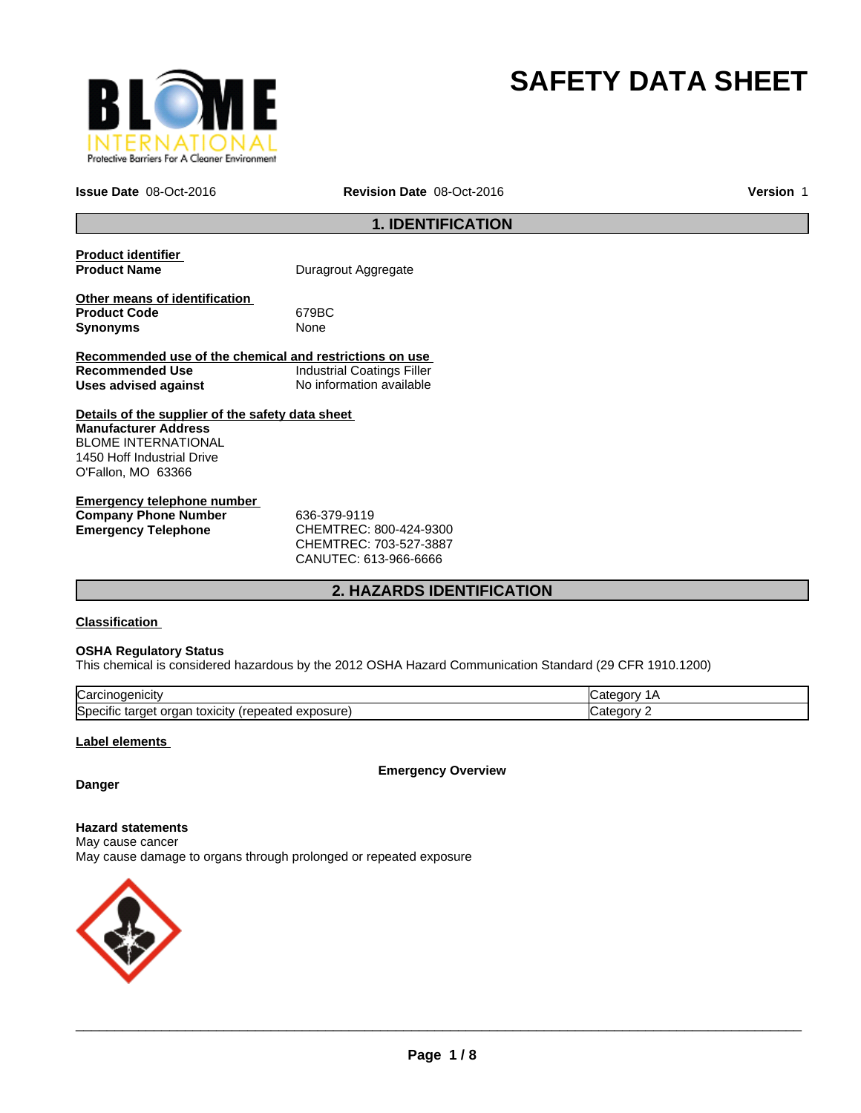

# **SAFETY DATA SHEET**

**Issue Date** 08-Oct-2016 **Revision Date** 08-Oct-2016

**Version** 1

### **1. IDENTIFICATION**

| <b>Product identifier</b><br><b>Product Name</b>                        | Duragrout Aggregate               |
|-------------------------------------------------------------------------|-----------------------------------|
| Other means of identification<br><b>Product Code</b><br><b>Synonyms</b> | 679BC<br>None                     |
| Recommended use of the chemical and restrictions on use                 |                                   |
| Recommended Use                                                         | <b>Industrial Coatings Filler</b> |
| Uses advised against                                                    | No information available          |
| Details of the supplier of the safety data sheet                        |                                   |
| <b>Manufacturer Address</b>                                             |                                   |
| <b>BLOME INTERNATIONAL</b>                                              |                                   |
| 1450 Hoff Industrial Drive                                              |                                   |
| O'Fallon, MO 63366                                                      |                                   |
| Emergeney telephane number                                              |                                   |

| Emergency telephone number  |                            |
|-----------------------------|----------------------------|
| <b>Company Phone Number</b> | 636-379-9119               |
| Emergency Telephone         | CHEMTREC: 800-424-9300     |
|                             | CUTEM T D E C·702 E27 2007 |

CHEMTREC: 703-527-3887 CANUTEC: 613-966-6666

### **2. HAZARDS IDENTIFICATION**

#### **Classification**

#### **OSHA Regulatory Status**

This chemical is considered hazardous by the 2012 OSHA Hazard Communication Standard (29 CFR 1910.1200)

| ∽<br>lual                                                                            |  |
|--------------------------------------------------------------------------------------|--|
| <b>S</b> pe<br>osur<br>эню<br>eatec<br>targe<br><b>TOXICILY</b><br>Jа<br>58 U<br>. . |  |

#### **Label elements**

**Emergency Overview**

### **Danger**

**Hazard statements** May cause cancer May cause damage to organs through prolonged or repeated exposure

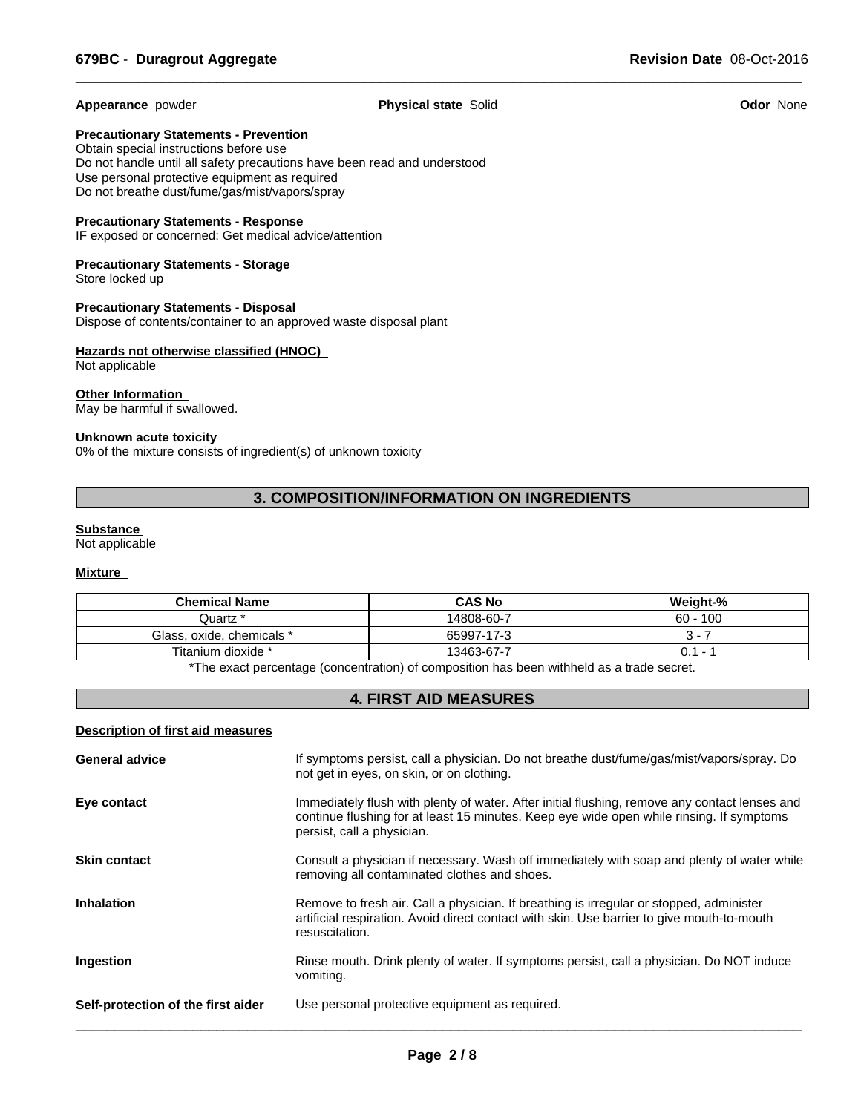**Appearance** powder **Physical state** Solid **Odor** None

 $\overline{\phantom{a}}$  ,  $\overline{\phantom{a}}$  ,  $\overline{\phantom{a}}$  ,  $\overline{\phantom{a}}$  ,  $\overline{\phantom{a}}$  ,  $\overline{\phantom{a}}$  ,  $\overline{\phantom{a}}$  ,  $\overline{\phantom{a}}$  ,  $\overline{\phantom{a}}$  ,  $\overline{\phantom{a}}$  ,  $\overline{\phantom{a}}$  ,  $\overline{\phantom{a}}$  ,  $\overline{\phantom{a}}$  ,  $\overline{\phantom{a}}$  ,  $\overline{\phantom{a}}$  ,  $\overline{\phantom{a}}$ 

**Precautionary Statements - Prevention**

Obtain special instructions before use Do not handle until all safety precautions have been read and understood Use personal protective equipment as required Do not breathe dust/fume/gas/mist/vapors/spray

#### **Precautionary Statements - Response**

IF exposed or concerned: Get medical advice/attention

#### **Precautionary Statements - Storage** Store locked up

**Precautionary Statements - Disposal** Dispose of contents/container to an approved waste disposal plant

#### **Hazards not otherwise classified (HNOC)**  Not applicable

## **Other Information**

May be harmful if swallowed.

#### **Unknown acute toxicity**

0% of the mixture consists of ingredient(s) of unknown toxicity

### **3. COMPOSITION/INFORMATION ON INGREDIENTS**

#### **Substance**

Not applicable

### **Mixture**

| <b>Chemical Name</b>                                                                                          | <b>CAS No</b> | Weight-%   |  |
|---------------------------------------------------------------------------------------------------------------|---------------|------------|--|
| <sup>*</sup> Quartz                                                                                           | 14808-60-7    | $60 - 100$ |  |
| Glass, oxide, chemicals *                                                                                     | 65997-17-3    | . .        |  |
| Titanium dioxide *                                                                                            | 13463-67-7    | - 1<br>U.  |  |
| . ₩The concert a concertainty for a contaction) of contact this action to a contillated to a standard concert |               |            |  |

The exact percentage (concentration) of composition has been withheld as a trade secret.

### **4. FIRST AID MEASURES**

#### **Description of first aid measures**

| <b>General advice</b>              | If symptoms persist, call a physician. Do not breathe dust/fume/gas/mist/vapors/spray. Do<br>not get in eyes, on skin, or on clothing.                                                                                  |
|------------------------------------|-------------------------------------------------------------------------------------------------------------------------------------------------------------------------------------------------------------------------|
| Eye contact                        | Immediately flush with plenty of water. After initial flushing, remove any contact lenses and<br>continue flushing for at least 15 minutes. Keep eye wide open while rinsing. If symptoms<br>persist, call a physician. |
| <b>Skin contact</b>                | Consult a physician if necessary. Wash off immediately with soap and plenty of water while<br>removing all contaminated clothes and shoes.                                                                              |
| <b>Inhalation</b>                  | Remove to fresh air. Call a physician. If breathing is irregular or stopped, administer<br>artificial respiration. Avoid direct contact with skin. Use barrier to give mouth-to-mouth<br>resuscitation.                 |
| Ingestion                          | Rinse mouth. Drink plenty of water. If symptoms persist, call a physician. Do NOT induce<br>vomiting.                                                                                                                   |
| Self-protection of the first aider | Use personal protective equipment as required.                                                                                                                                                                          |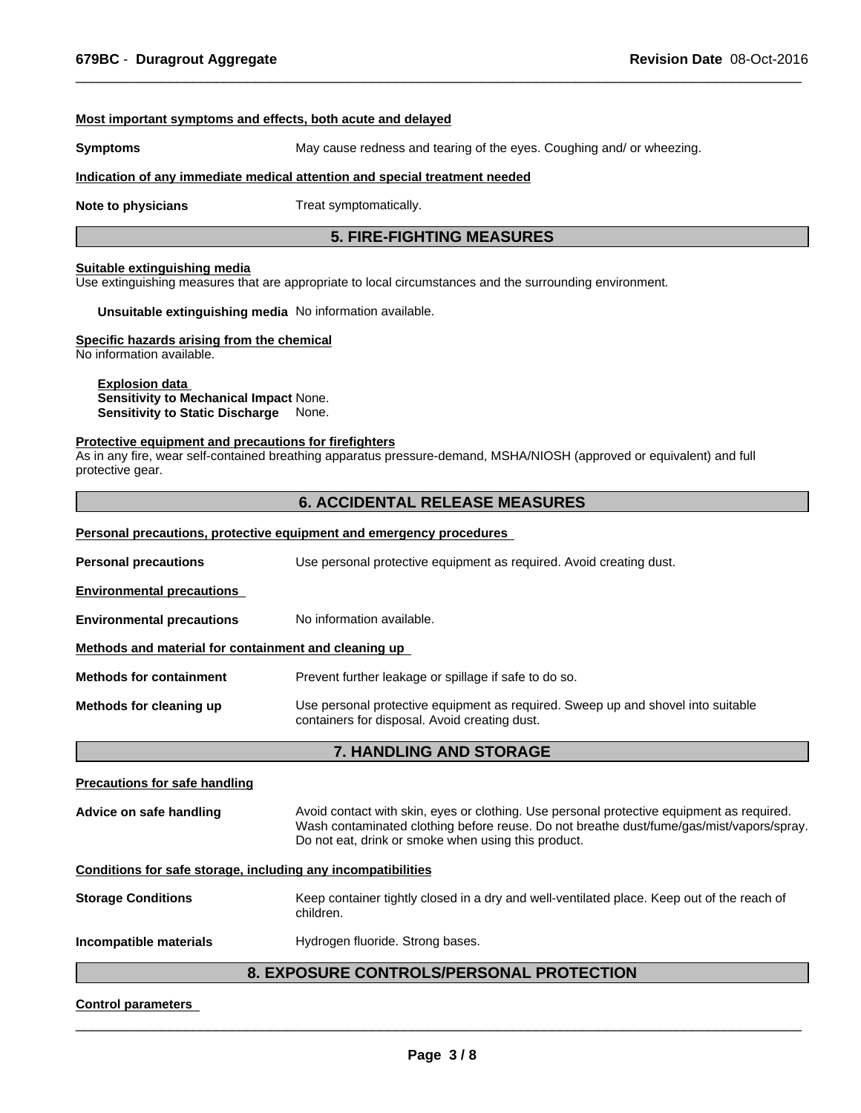#### **Most important symptoms and effects, both acute and delayed**

**Symptoms** May cause redness and tearing of the eyes. Coughing and/ or wheezing.

#### **Indication of any immediate medical attention and special treatment needed**

**Note to physicians** Treat symptomatically.

#### **5. FIRE-FIGHTING MEASURES**

 $\overline{\phantom{a}}$  ,  $\overline{\phantom{a}}$  ,  $\overline{\phantom{a}}$  ,  $\overline{\phantom{a}}$  ,  $\overline{\phantom{a}}$  ,  $\overline{\phantom{a}}$  ,  $\overline{\phantom{a}}$  ,  $\overline{\phantom{a}}$  ,  $\overline{\phantom{a}}$  ,  $\overline{\phantom{a}}$  ,  $\overline{\phantom{a}}$  ,  $\overline{\phantom{a}}$  ,  $\overline{\phantom{a}}$  ,  $\overline{\phantom{a}}$  ,  $\overline{\phantom{a}}$  ,  $\overline{\phantom{a}}$ 

#### **Suitable extinguishing media**

Use extinguishing measures that are appropriate to local circumstances and the surrounding environment.

**Unsuitable extinguishing media** No information available.

#### **Specific hazards arising from the chemical**

No information available.

#### **Explosion data Sensitivity to Mechanical Impact** None. **Sensitivity to Static Discharge** None.

#### **Protective equipment and precautions for firefighters**

As in any fire, wear self-contained breathing apparatus pressure-demand, MSHA/NIOSH (approved or equivalent) and full protective gear.

#### **6. ACCIDENTAL RELEASE MEASURES**

#### **Personal precautions, protective equipment and emergency procedures**

| <b>Personal precautions</b><br>Use personal protective equipment as required. Avoid creating dust. |                                                                                                                                   |  |  |  |  |
|----------------------------------------------------------------------------------------------------|-----------------------------------------------------------------------------------------------------------------------------------|--|--|--|--|
| <b>Environmental precautions</b>                                                                   |                                                                                                                                   |  |  |  |  |
| <b>Environmental precautions</b>                                                                   | No information available.                                                                                                         |  |  |  |  |
| Methods and material for containment and cleaning up                                               |                                                                                                                                   |  |  |  |  |
| <b>Methods for containment</b>                                                                     | Prevent further leakage or spillage if safe to do so.                                                                             |  |  |  |  |
| Methods for cleaning up                                                                            | Use personal protective equipment as required. Sweep up and shovel into suitable<br>containers for disposal. Avoid creating dust. |  |  |  |  |
| <b>7. HANDLING AND STORAGE</b>                                                                     |                                                                                                                                   |  |  |  |  |

## **Precautions for safe handling Advice on safe handling** Avoid contact with skin, eyes or clothing. Use personal protective equipment as required. Wash contaminated clothing before reuse. Do not breathe dust/fume/gas/mist/vapors/spray. Do not eat, drink or smoke when using this product. **Conditions for safe storage, including any incompatibilities Storage Conditions** Keep container tightly closed in a dry and well-ventilated place. Keep out of the reach of children. **Incompatible materials Hydrogen fluoride. Strong bases.**

### **8. EXPOSURE CONTROLS/PERSONAL PROTECTION**

#### **Control parameters**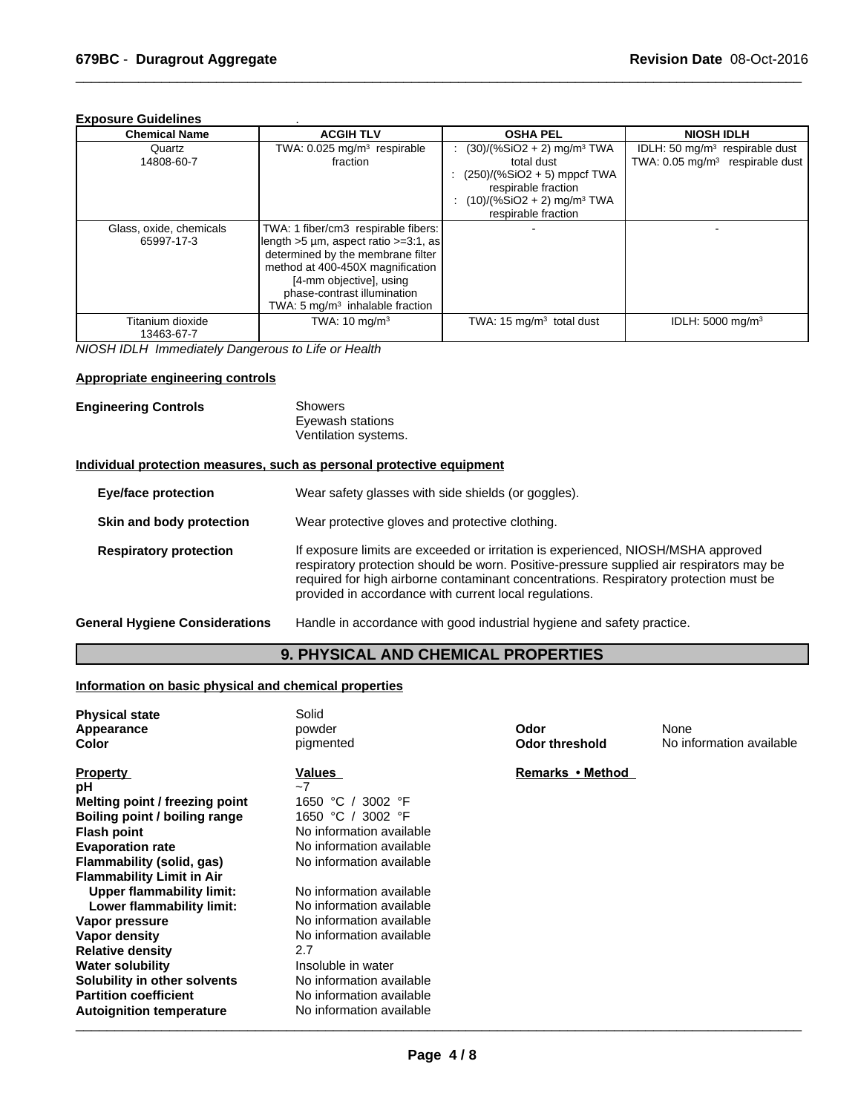#### **Exposure Guidelines** .

| <b>Chemical Name</b>                  | <b>ACGIH TLV</b>                                                                                                                                                                                                                                                      | <b>OSHA PEL</b>                                                                                                                                                                   | <b>NIOSH IDLH</b>                                                                         |
|---------------------------------------|-----------------------------------------------------------------------------------------------------------------------------------------------------------------------------------------------------------------------------------------------------------------------|-----------------------------------------------------------------------------------------------------------------------------------------------------------------------------------|-------------------------------------------------------------------------------------------|
| Quartz<br>14808-60-7                  | TWA: $0.025$ mg/m <sup>3</sup> respirable<br>fraction                                                                                                                                                                                                                 | $(30)/(%SiO2 + 2)$ mg/m <sup>3</sup> TWA<br>total dust<br>$(250)/(%SiO2 + 5)$ mppcf TWA<br>respirable fraction<br>$(10)/(%SiO2 + 2)$ mg/m <sup>3</sup> TWA<br>respirable fraction | IDLH: 50 mg/m <sup>3</sup> respirable dust<br>TWA: 0.05 mg/m <sup>3</sup> respirable dust |
| Glass, oxide, chemicals<br>65997-17-3 | TWA: 1 fiber/cm3 respirable fibers:<br>length $>5 \mu m$ , aspect ratio $>=3.1$ , as<br>determined by the membrane filter<br>method at 400-450X magnification<br>[4-mm objective], using<br>phase-contrast illumination<br>TWA: $5 \text{ mg/m}^3$ inhalable fraction |                                                                                                                                                                                   |                                                                                           |
| Titanium dioxide<br>13463-67-7        | TWA: $10 \text{ mg/m}^3$                                                                                                                                                                                                                                              | TWA: 15 mg/m <sup>3</sup> total dust                                                                                                                                              | IDLH: $5000 \text{ mg/m}^3$                                                               |

 $\overline{\phantom{a}}$  ,  $\overline{\phantom{a}}$  ,  $\overline{\phantom{a}}$  ,  $\overline{\phantom{a}}$  ,  $\overline{\phantom{a}}$  ,  $\overline{\phantom{a}}$  ,  $\overline{\phantom{a}}$  ,  $\overline{\phantom{a}}$  ,  $\overline{\phantom{a}}$  ,  $\overline{\phantom{a}}$  ,  $\overline{\phantom{a}}$  ,  $\overline{\phantom{a}}$  ,  $\overline{\phantom{a}}$  ,  $\overline{\phantom{a}}$  ,  $\overline{\phantom{a}}$  ,  $\overline{\phantom{a}}$ 

*NIOSH IDLH Immediately Dangerous to Life or Health*

#### **Appropriate engineering controls**

| Showers<br>Eyewash stations<br>Ventilation systems. |
|-----------------------------------------------------|
|                                                     |
|                                                     |

#### **Individual protection measures, such as personal protective equipment**

| <b>Eye/face protection</b>            | Wear safety glasses with side shields (or goggles).                                                                                                                                                                                                                                                                              |
|---------------------------------------|----------------------------------------------------------------------------------------------------------------------------------------------------------------------------------------------------------------------------------------------------------------------------------------------------------------------------------|
| Skin and body protection              | Wear protective gloves and protective clothing.                                                                                                                                                                                                                                                                                  |
| <b>Respiratory protection</b>         | If exposure limits are exceeded or irritation is experienced, NIOSH/MSHA approved<br>respiratory protection should be worn. Positive-pressure supplied air respirators may be<br>required for high airborne contaminant concentrations. Respiratory protection must be<br>provided in accordance with current local regulations. |
| <b>General Hygiene Considerations</b> | Handle in accordance with good industrial hygiene and safety practice.                                                                                                                                                                                                                                                           |

### **9. PHYSICAL AND CHEMICAL PROPERTIES**

#### **Information on basic physical and chemical properties**

| <b>Physical state</b><br>Appearance<br><b>Color</b> | Solid<br>powder<br>pigmented | Odor<br><b>Odor threshold</b> | None<br>No information available |
|-----------------------------------------------------|------------------------------|-------------------------------|----------------------------------|
| <b>Property</b>                                     | Values                       | Remarks • Method              |                                  |
| рH                                                  | $-7$                         |                               |                                  |
| Melting point / freezing point                      | 1650 °C<br>3002 °F           |                               |                                  |
| Boiling point / boiling range                       | 1650 °C /<br>3002 °F         |                               |                                  |
| <b>Flash point</b>                                  | No information available     |                               |                                  |
| <b>Evaporation rate</b>                             | No information available     |                               |                                  |
| Flammability (solid, gas)                           | No information available     |                               |                                  |
| <b>Flammability Limit in Air</b>                    |                              |                               |                                  |
| <b>Upper flammability limit:</b>                    | No information available     |                               |                                  |
| Lower flammability limit:                           | No information available     |                               |                                  |
| Vapor pressure                                      | No information available     |                               |                                  |
| Vapor density                                       | No information available     |                               |                                  |
| <b>Relative density</b>                             | 2.7                          |                               |                                  |
| <b>Water solubility</b>                             | Insoluble in water           |                               |                                  |
| Solubility in other solvents                        | No information available     |                               |                                  |
| <b>Partition coefficient</b>                        | No information available     |                               |                                  |
| <b>Autoignition temperature</b>                     | No information available     |                               |                                  |

 $\_$  ,  $\_$  ,  $\_$  ,  $\_$  ,  $\_$  ,  $\_$  ,  $\_$  ,  $\_$  ,  $\_$  ,  $\_$  ,  $\_$  ,  $\_$  ,  $\_$  ,  $\_$  ,  $\_$  ,  $\_$  ,  $\_$  ,  $\_$  ,  $\_$  ,  $\_$  ,  $\_$  ,  $\_$  ,  $\_$  ,  $\_$  ,  $\_$  ,  $\_$  ,  $\_$  ,  $\_$  ,  $\_$  ,  $\_$  ,  $\_$  ,  $\_$  ,  $\_$  ,  $\_$  ,  $\_$  ,  $\_$  ,  $\_$  ,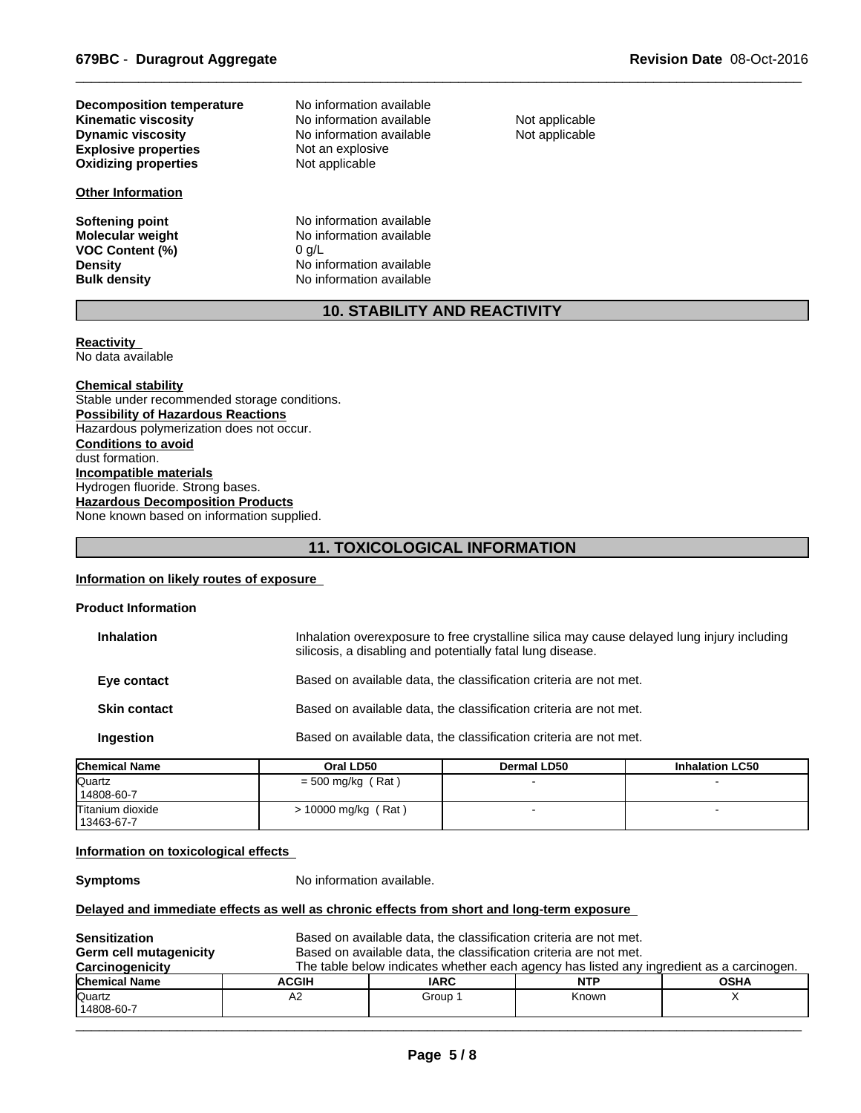**Explosive properties** Not an explosive<br> **Oxidizing properties** Not applicable **Oxidizing properties Kinematic viscosity**<br> **Community** No information available<br>
No information available **Decomposition temperature**

#### **Other Information**

**VOC Content (%)**<br>Density

**No information available** No information available

**Softening point No information available**<br> **Molecular weight No information available** No information available<br>0 g/L **Density Constitution No** information available<br> **Bulk density No** information available **No information available** 

Not applicable Not applicable

 $\overline{\phantom{a}}$  ,  $\overline{\phantom{a}}$  ,  $\overline{\phantom{a}}$  ,  $\overline{\phantom{a}}$  ,  $\overline{\phantom{a}}$  ,  $\overline{\phantom{a}}$  ,  $\overline{\phantom{a}}$  ,  $\overline{\phantom{a}}$  ,  $\overline{\phantom{a}}$  ,  $\overline{\phantom{a}}$  ,  $\overline{\phantom{a}}$  ,  $\overline{\phantom{a}}$  ,  $\overline{\phantom{a}}$  ,  $\overline{\phantom{a}}$  ,  $\overline{\phantom{a}}$  ,  $\overline{\phantom{a}}$ 

### **10. STABILITY AND REACTIVITY**

#### **Reactivity**  No data available

**Chemical stability** Stable under recommended storage conditions. **Possibility of Hazardous Reactions** Hazardous polymerization does not occur. **Conditions to avoid** dust formation. **Incompatible materials** Hydrogen fluoride. Strong bases. **Hazardous Decomposition Products** None known based on information supplied.

### **11. TOXICOLOGICAL INFORMATION**

#### **Information on likely routes of exposure**

| <b>Product Information</b> |                                                                                                                                                          |  |
|----------------------------|----------------------------------------------------------------------------------------------------------------------------------------------------------|--|
| <b>Inhalation</b>          | Inhalation overexposure to free crystalline silica may cause delayed lung injury including<br>silicosis, a disabling and potentially fatal lung disease. |  |
| Eye contact                | Based on available data, the classification criteria are not met.                                                                                        |  |
| <b>Skin contact</b>        | Based on available data, the classification criteria are not met.                                                                                        |  |
| Ingestion                  | Based on available data, the classification criteria are not met.                                                                                        |  |
|                            |                                                                                                                                                          |  |

| <b>Chemical Name</b> | Oral LD50           | <b>Dermal LD50</b> | <b>Inhalation LC50</b> |  |
|----------------------|---------------------|--------------------|------------------------|--|
| Quartz               | $=$ 500 mg/kg (Rat) |                    |                        |  |
| 14808-60-7           |                     |                    |                        |  |
| Titanium dioxide     | 10000 mg/kg (Rat)   |                    |                        |  |
| 13463-67-7           |                     |                    |                        |  |

#### **Information on toxicological effects**

**Symptoms** No information available.

#### **Delayed and immediate effects as well as chronic effects from short and long-term exposure**

| <b>Sensitization</b>          |              | Based on available data, the classification criteria are not met. |                                                                                          |             |
|-------------------------------|--------------|-------------------------------------------------------------------|------------------------------------------------------------------------------------------|-------------|
| <b>Germ cell mutagenicity</b> |              | Based on available data, the classification criteria are not met. |                                                                                          |             |
| Carcinogenicity               |              |                                                                   | The table below indicates whether each agency has listed any ingredient as a carcinogen. |             |
| <b>Chemical Name</b>          | <b>ACGIH</b> | <b>IARC</b>                                                       | <b>NTP</b>                                                                               | <b>OSHA</b> |
| Quartz                        | A2           | Group 1                                                           | Known                                                                                    |             |
| 14808-60-7                    |              |                                                                   |                                                                                          |             |

 $\overline{\phantom{a}}$  , and the contribution of the contribution of the contribution of the contribution of the contribution of the contribution of the contribution of the contribution of the contribution of the contribution of the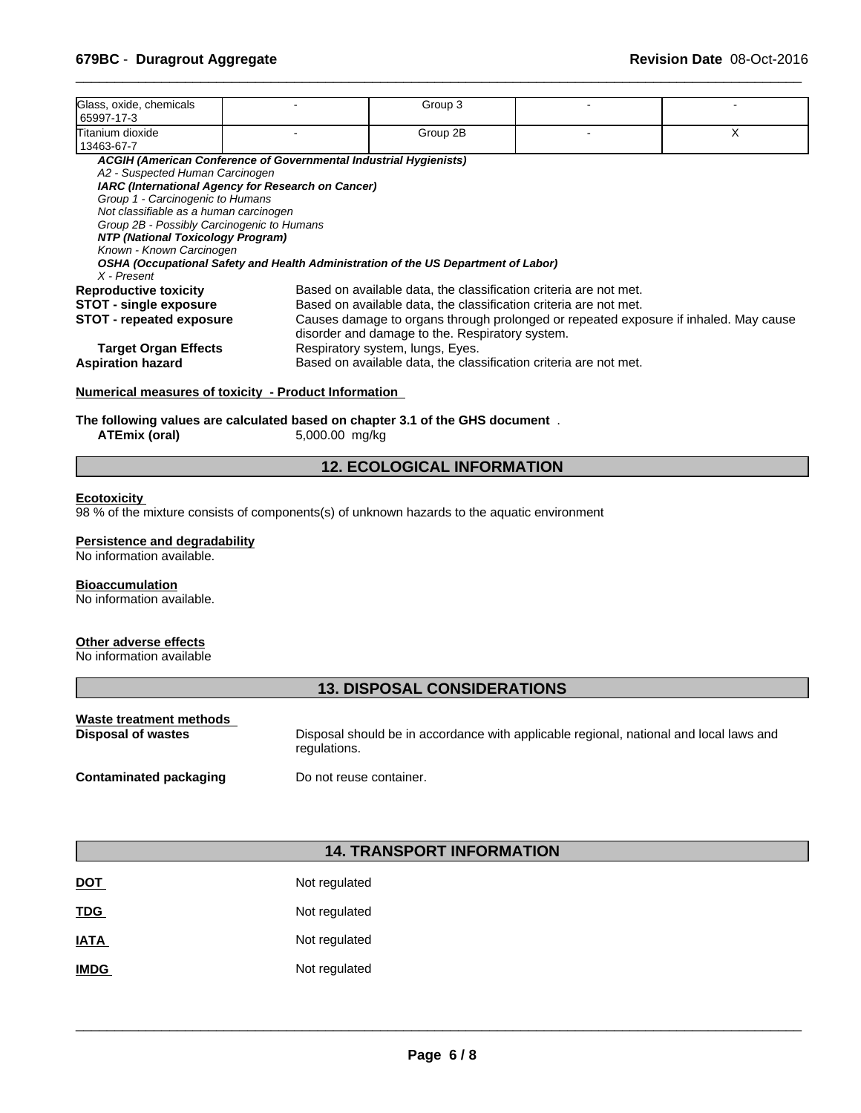| Glass, oxide, chemicals<br>65997-17-3                                                                                                                                                                                        |                                                                                                                         | Group 3                                                                                                                                                                                   |                                                                                      |   |  |
|------------------------------------------------------------------------------------------------------------------------------------------------------------------------------------------------------------------------------|-------------------------------------------------------------------------------------------------------------------------|-------------------------------------------------------------------------------------------------------------------------------------------------------------------------------------------|--------------------------------------------------------------------------------------|---|--|
| Titanium dioxide<br>13463-67-7                                                                                                                                                                                               |                                                                                                                         | Group 2B                                                                                                                                                                                  |                                                                                      | X |  |
| A2 - Suspected Human Carcinogen<br>Group 1 - Carcinogenic to Humans<br>Not classifiable as a human carcinogen<br>Group 2B - Possibly Carcinogenic to Humans<br>NTP (National Toxicology Program)<br>Known - Known Carcinogen | ACGIH (American Conference of Governmental Industrial Hygienists)<br>IARC (International Agency for Research on Cancer) |                                                                                                                                                                                           |                                                                                      |   |  |
| X - Present                                                                                                                                                                                                                  | OSHA (Occupational Safety and Health Administration of the US Department of Labor)                                      |                                                                                                                                                                                           |                                                                                      |   |  |
| <b>Reproductive toxicity</b><br><b>STOT - single exposure</b><br><b>STOT - repeated exposure</b>                                                                                                                             |                                                                                                                         | Based on available data, the classification criteria are not met.<br>Based on available data, the classification criteria are not met.<br>disorder and damage to the. Respiratory system. | Causes damage to organs through prolonged or repeated exposure if inhaled. May cause |   |  |
| <b>Target Organ Effects</b><br><b>Aspiration hazard</b>                                                                                                                                                                      |                                                                                                                         | Respiratory system, lungs, Eyes.<br>Based on available data, the classification criteria are not met.                                                                                     |                                                                                      |   |  |

 $\overline{\phantom{a}}$  ,  $\overline{\phantom{a}}$  ,  $\overline{\phantom{a}}$  ,  $\overline{\phantom{a}}$  ,  $\overline{\phantom{a}}$  ,  $\overline{\phantom{a}}$  ,  $\overline{\phantom{a}}$  ,  $\overline{\phantom{a}}$  ,  $\overline{\phantom{a}}$  ,  $\overline{\phantom{a}}$  ,  $\overline{\phantom{a}}$  ,  $\overline{\phantom{a}}$  ,  $\overline{\phantom{a}}$  ,  $\overline{\phantom{a}}$  ,  $\overline{\phantom{a}}$  ,  $\overline{\phantom{a}}$ 

#### **Numerical measures of toxicity - Product Information**

# **The following values are calculated based on chapter 3.1 of the GHS document** . **ATEmix (oral)** 5,000.00 mg/kg

**ATEmix (oral)** 5,000.00 mg/kg

### **12. ECOLOGICAL INFORMATION**

#### **Ecotoxicity**

98 % of the mixture consists of components(s) of unknown hazards to the aquatic environment

#### **Persistence and degradability**

No information available.

#### **Bioaccumulation**

No information available.

#### **Other adverse effects**

No information available

### **13. DISPOSAL CONSIDERATIONS**

| Waste treatment methods   | Disposal should be in accordance with applicable regional, national and local laws and |
|---------------------------|----------------------------------------------------------------------------------------|
| <b>Disposal of wastes</b> | regulations.                                                                           |
| Contaminated packaging    | Do not reuse container.                                                                |

#### **14. TRANSPORT INFORMATION**

| <u>DOT</u>  | Not regulated |
|-------------|---------------|
| <b>TDG</b>  | Not regulated |
| <b>IATA</b> | Not regulated |
| <b>IMDG</b> | Not regulated |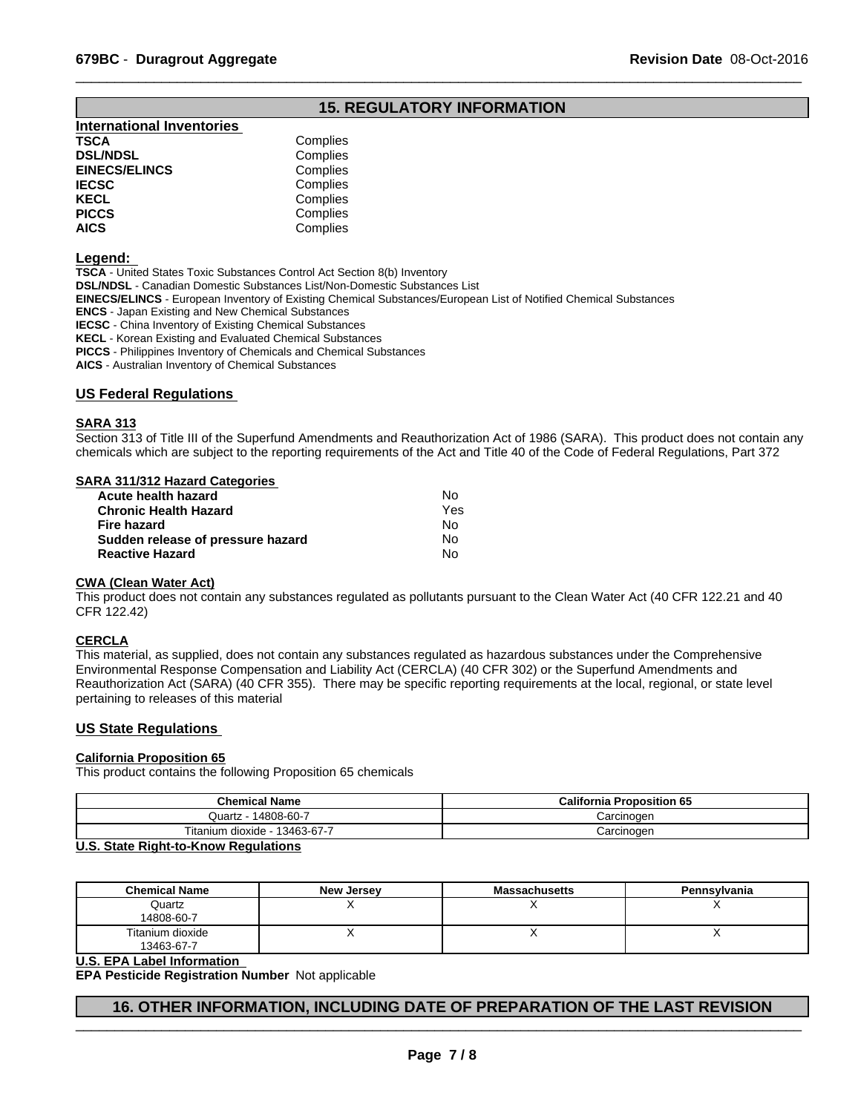### **15. REGULATORY INFORMATION**

 $\overline{\phantom{a}}$  ,  $\overline{\phantom{a}}$  ,  $\overline{\phantom{a}}$  ,  $\overline{\phantom{a}}$  ,  $\overline{\phantom{a}}$  ,  $\overline{\phantom{a}}$  ,  $\overline{\phantom{a}}$  ,  $\overline{\phantom{a}}$  ,  $\overline{\phantom{a}}$  ,  $\overline{\phantom{a}}$  ,  $\overline{\phantom{a}}$  ,  $\overline{\phantom{a}}$  ,  $\overline{\phantom{a}}$  ,  $\overline{\phantom{a}}$  ,  $\overline{\phantom{a}}$  ,  $\overline{\phantom{a}}$ 

| <b>International Inventories</b> |          |
|----------------------------------|----------|
| TSCA                             | Complies |
| <b>DSL/NDSL</b>                  | Complies |
| <b>EINECS/ELINCS</b>             | Complies |
| IECSC                            | Complies |
| KECL                             | Complies |
| PICCS                            | Complies |
| AICS                             | Complies |
|                                  |          |

#### **Legend:**

**TSCA** - United States Toxic Substances Control Act Section 8(b) Inventory **DSL/NDSL** - Canadian Domestic Substances List/Non-Domestic Substances List **EINECS/ELINCS** - European Inventory of Existing Chemical Substances/European List of Notified Chemical Substances **ENCS** - Japan Existing and New Chemical Substances **IECSC** - China Inventory of Existing Chemical Substances **KECL** - Korean Existing and Evaluated Chemical Substances **PICCS** - Philippines Inventory of Chemicals and Chemical Substances

**AICS** - Australian Inventory of Chemical Substances

#### **US Federal Regulations**

#### **SARA 313**

Section 313 of Title III of the Superfund Amendments and Reauthorization Act of 1986 (SARA). This product does not contain any chemicals which are subject to the reporting requirements of the Act and Title 40 of the Code of Federal Regulations, Part 372

#### **SARA 311/312 Hazard Categories**

| Acute health hazard               | No. |  |
|-----------------------------------|-----|--|
| Chronic Health Hazard             | Yes |  |
| Fire hazard                       | No. |  |
| Sudden release of pressure hazard | N٥  |  |
| <b>Reactive Hazard</b>            | N٥  |  |
|                                   |     |  |

#### **CWA (Clean Water Act)**

This product does not contain any substances regulated as pollutants pursuant to the Clean Water Act (40 CFR 122.21 and 40 CFR 122.42)

#### **CERCLA**

This material, as supplied, does not contain any substances regulated as hazardous substances under the Comprehensive Environmental Response Compensation and Liability Act (CERCLA) (40 CFR 302) or the Superfund Amendments and Reauthorization Act (SARA) (40 CFR 355). There may be specific reporting requirements at the local, regional, or state level pertaining to releases of this material

#### **US State Regulations**

#### **California Proposition 65**

This product contains the following Proposition 65 chemicals

| <b>Chemical Name</b>          | <b>California Proposition 65</b> |
|-------------------------------|----------------------------------|
| Quartz - 14808-60-7           | Carcinoɑen                       |
| Titanium dioxide - 13463-67-7 | Carcinoɑen                       |
| $\mathbf{H} \cdot \mathbf{A}$ |                                  |

#### **U.S. State Right-to-Know Regulations**

| <b>Chemical Name</b>           | <b>New Jersey</b> | Massachusetts | Pennsylvania |
|--------------------------------|-------------------|---------------|--------------|
| Quartz<br>14808-60-7           |                   |               |              |
| Titanium dioxide<br>13463-67-7 |                   |               | ,,           |

#### **U.S. EPA Label Information**

**EPA Pesticide Registration Number** Not applicable

#### **16. OTHER INFORMATION, INCLUDING DATE OF PREPARATION OF THE LAST REVISION**